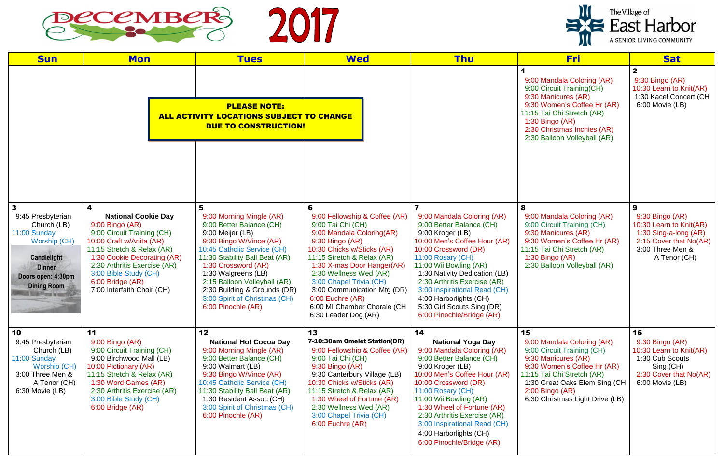

| <b>Sun</b>                                                                                                                                                   | <b>Mon</b>                                                                                                                                                                                                                                                                           | <b>Tues</b>                                                                                                                                                                                                                                                                                                                                    | <b>Wed</b>                                                                                                                                                                                                                                                                                                                                                       | <b>Thu</b>                                                                                                                                                                                                                                                                                                                                                               | <b>Fri</b>                                                                                                                                                                                                                                   | <b>Sat</b>                                                                                                                             |
|--------------------------------------------------------------------------------------------------------------------------------------------------------------|--------------------------------------------------------------------------------------------------------------------------------------------------------------------------------------------------------------------------------------------------------------------------------------|------------------------------------------------------------------------------------------------------------------------------------------------------------------------------------------------------------------------------------------------------------------------------------------------------------------------------------------------|------------------------------------------------------------------------------------------------------------------------------------------------------------------------------------------------------------------------------------------------------------------------------------------------------------------------------------------------------------------|--------------------------------------------------------------------------------------------------------------------------------------------------------------------------------------------------------------------------------------------------------------------------------------------------------------------------------------------------------------------------|----------------------------------------------------------------------------------------------------------------------------------------------------------------------------------------------------------------------------------------------|----------------------------------------------------------------------------------------------------------------------------------------|
|                                                                                                                                                              |                                                                                                                                                                                                                                                                                      | <b>PLEASE NOTE:</b><br>ALL ACTIVITY LOCATIONS SUBJECT TO CHANGE<br><b>DUE TO CONSTRUCTION!</b>                                                                                                                                                                                                                                                 |                                                                                                                                                                                                                                                                                                                                                                  |                                                                                                                                                                                                                                                                                                                                                                          | 9:00 Mandala Coloring (AR)<br>9:00 Circuit Training(CH)<br>9:30 Manicures (AR)<br>9:30 Women's Coffee Hr (AR)<br>11:15 Tai Chi Stretch (AR)<br>1:30 Bingo (AR)<br>2:30 Christmas Inchies (AR)<br>2:30 Balloon Volleyball (AR)                | $\mathbf{2}$<br>$9:30$ Bingo (AR)<br>10:30 Learn to Knit(AR)<br>1:30 Kacel Concert (CH<br>6:00 Movie (LB)                              |
|                                                                                                                                                              |                                                                                                                                                                                                                                                                                      |                                                                                                                                                                                                                                                                                                                                                |                                                                                                                                                                                                                                                                                                                                                                  |                                                                                                                                                                                                                                                                                                                                                                          |                                                                                                                                                                                                                                              |                                                                                                                                        |
| $\mathbf{3}$<br>9:45 Presbyterian<br>Church (LB)<br>11:00 Sunday<br>Worship (CH)<br>Candlelight<br><b>Dinner</b><br>Doors open: 4:30pm<br><b>Dining Room</b> | 4<br><b>National Cookie Day</b><br>9:00 Bingo (AR)<br>9:00 Circuit Training (CH)<br>10:00 Craft w/Anita (AR)<br>11:15 Stretch & Relax (AR)<br>1:30 Cookie Decorating (AR)<br>2:30 Arthritis Exercise (AR)<br>3:00 Bible Study (CH)<br>6:00 Bridge (AR)<br>7:00 Interfaith Choir (CH) | 5<br>9:00 Morning Mingle (AR)<br>9:00 Better Balance (CH)<br>9:00 Meijer (LB)<br>9:30 Bingo W/Vince (AR)<br>10:45 Catholic Service (CH)<br>11:30 Stability Ball Beat (AR)<br>1:30 Crossword (AR)<br>1:30 Walgreens (LB)<br>2:15 Balloon Volleyball (AR)<br>2:30 Building & Grounds (DR)<br>3:00 Spirit of Christmas (CH)<br>6:00 Pinochle (AR) | 6<br>9:00 Fellowship & Coffee (AR)<br>9:00 Tai Chi (CH)<br>9:00 Mandala Coloring(AR)<br>9:30 Bingo (AR)<br>10:30 Chicks w/Sticks (AR)<br>11:15 Stretch & Relax (AR)<br>1:30 X-mas Door Hanger(AR)<br>2:30 Wellness Wed (AR)<br>3:00 Chapel Trivia (CH)<br>3:00 Communication Mtg (DR)<br>6:00 Euchre (AR)<br>6:00 MI Chamber Chorale (CH<br>6:30 Leader Dog (AR) | 9:00 Mandala Coloring (AR)<br>9:00 Better Balance (CH)<br>9:00 Kroger (LB)<br>10:00 Men's Coffee Hour (AR)<br>10:00 Crossword (DR)<br>11:00 Rosary (CH)<br>11:00 Wii Bowling (AR)<br>1:30 Nativity Dedication (LB)<br>2:30 Arthritis Exercise (AR)<br>3:00 Inspirational Read (CH)<br>4:00 Harborlights (CH)<br>5:30 Girl Scouts Sing (DR)<br>6:00 Pinochle/Bridge (AR)  | 8<br>9:00 Mandala Coloring (AR)<br>9:00 Circuit Training (CH)<br>9:30 Manicures (AR)<br>9:30 Women's Coffee Hr (AR)<br>11:15 Tai Chi Stretch (AR)<br>1:30 Bingo (AR)<br>2:30 Balloon Volleyball (AR)                                         | 9<br>9:30 Bingo (AR)<br>10:30 Learn to Knit(AR)<br>1:30 Sing-a-long (AR)<br>2:15 Cover that No(AR)<br>3:00 Three Men &<br>A Tenor (CH) |
| 10<br>9:45 Presbyterian<br>Church (LB)<br>11:00 Sunday<br>Worship (CH)<br>3:00 Three Men &<br>A Tenor (CH)<br>6:30 Movie (LB)                                | 11<br>9:00 Bingo (AR)<br>9:00 Circuit Training (CH)<br>9:00 Birchwood Mall (LB)<br>10:00 Pictionary (AR)<br>11:15 Stretch & Relax (AR)<br>1:30 Word Games (AR)<br>2:30 Arthritis Exercise (AR)<br>3:00 Bible Study (CH)<br>6:00 Bridge (AR)                                          | 12<br><b>National Hot Cocoa Day</b><br>9:00 Morning Mingle (AR)<br>9:00 Better Balance (CH)<br>9:00 Walmart (LB)<br>9:30 Bingo W/Vince (AR)<br>10:45 Catholic Service (CH)<br>11:30 Stability Ball Beat (AR)<br>1:30 Resident Assoc (CH)<br>3:00 Spirit of Christmas (CH)<br>6:00 Pinochle (AR)                                                | 13<br>7-10:30am Omelet Station(DR)<br>9:00 Fellowship & Coffee (AR)<br>9:00 Tai Chi (CH)<br>9:30 Bingo (AR)<br>9:30 Canterbury Village (LB)<br>10:30 Chicks w/Sticks (AR)<br>11:15 Stretch & Relax (AR)<br>1:30 Wheel of Fortune (AR)<br>2:30 Wellness Wed (AR)<br>3:00 Chapel Trivia (CH)<br>6:00 Euchre (AR)                                                   | 14<br><b>National Yoga Day</b><br>9:00 Mandala Coloring (AR)<br>9:00 Better Balance (CH)<br>9:00 Kroger (LB)<br>10:00 Men's Coffee Hour (AR)<br>10:00 Crossword (DR)<br>11:00 Rosary (CH)<br>11:00 Wii Bowling (AR)<br>1:30 Wheel of Fortune (AR)<br>2:30 Arthritis Exercise (AR)<br>3:00 Inspirational Read (CH)<br>4:00 Harborlights (CH)<br>6:00 Pinochle/Bridge (AR) | 15<br>9:00 Mandala Coloring (AR)<br>9:00 Circuit Training (CH)<br>9:30 Manicures (AR)<br>9:30 Women's Coffee Hr (AR)<br>11:15 Tai Chi Stretch (AR)<br>1:30 Great Oaks Elem Sing (CH)<br>$2:00$ Bingo (AR)<br>6:30 Christmas Light Drive (LB) | 16<br>9:30 Bingo (AR)<br>10:30 Learn to Knit(AR)<br>1:30 Cub Scouts<br>Sing (CH)<br>2:30 Cover that No(AR)<br>6:00 Movie (LB)          |

| The Village of<br><b>East Harbor</b><br>A SENIOR LIVING COMMUNITY |
|-------------------------------------------------------------------|
|                                                                   |